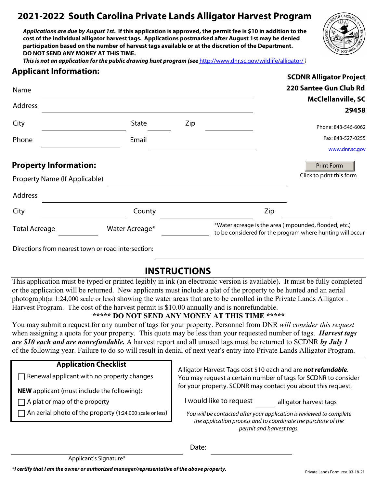# **2021-2022 South Carolina Private Lands Alligator Harvest Program**

*Applications are due by August 1st***. If this application is approved, the permit fee is \$10 in addition to the cost of the individual alligator harvest tags. Applications postmarked after August 1st may be denied participation based on the number of harvest tags available or at the discretion of the Department. DO NOT SEND ANY MONEY AT THIS TIME.** 



**SCDNR Alligator Project**

*This is not an application for the public drawing hunt program (see http://www.dnr.sc.gov/wildlife/alligator/)* 

#### **Applicant Information:**

| Name                                                                                                                                                                                                                                 |                |     |     | 220 Santee Gun Club Rd                                                                                             |
|--------------------------------------------------------------------------------------------------------------------------------------------------------------------------------------------------------------------------------------|----------------|-----|-----|--------------------------------------------------------------------------------------------------------------------|
| Address                                                                                                                                                                                                                              |                |     |     | <b>McClellanville, SC</b><br>29458                                                                                 |
| City                                                                                                                                                                                                                                 | State          | Zip |     | Phone: 843-546-6062                                                                                                |
| Phone                                                                                                                                                                                                                                | Email          |     |     | Fax: 843-527-0255<br>www.dnr.sc.gov                                                                                |
| <b>Property Information:</b><br>Property Name (If Applicable)                                                                                                                                                                        |                |     |     | <b>Print Form</b><br>Click to print this form                                                                      |
| Address                                                                                                                                                                                                                              |                |     |     |                                                                                                                    |
| City                                                                                                                                                                                                                                 | County         |     | Zip |                                                                                                                    |
| <b>Total Acreage</b>                                                                                                                                                                                                                 | Water Acreage* |     |     | *Water acreage is the area (impounded, flooded, etc.)<br>to be considered for the program where hunting will occur |
| $\mathbb{R}^n$ and $\mathbb{R}^n$ are the set of the set of the set of the set of the set of the set of the set of the set of the set of the set of the set of the set of the set of the set of the set of the set of the set of the |                |     |     |                                                                                                                    |

Directions from nearest town or road intersection:

## **INSTRUCTIONS**

This application must be typed or printed legibly in ink (an electronic version is available). It must be fully completed or the application will be returned. New applicants must include a plat of the property to be hunted and an aerial photograph(at 1:24,000 scale or less) showing the water areas that are to be enrolled in the Private Lands Alligator . Harvest Program. The cost of the harvest permit is \$10.00 annually and is nonrefundable.

#### **\*\*\*\*\* DO NOT SEND ANY MONEY AT THIS TIME \*\*\*\*\***

You may submit a request for any number of tags for your property. Personnel from DNR *will consider this request* when assigning a quota for your property. This quota may be less than your requested number of tags. *Harvest tags are \$10 each and are nonrefundable.* A harvest report and all unused tags must be returned to SCDNR *by July 1* of the following year. Failure to do so will result in denial of next year's entry into Private Lands Alligator Program.

#### **Application Checklist**

 $\Box$  Renewal applicant with no property changes

**NEW** applicant (must include the following):

 $\Box$  A plat or map of the property

 $\Box$  An aerial photo of the property (1:24,000 scale or less)

Alligator Harvest Tags cost \$10 each and are *not refundable*. You may request a certain number of tags for SCDNR to consider for your property. SCDNR may contact you about this request.

I would like to request

alligator harvest tags

*You will be contacted after your application is reviewed to complete the application process and to coordinate the purchase of the permit and harvest tags.*

Date: